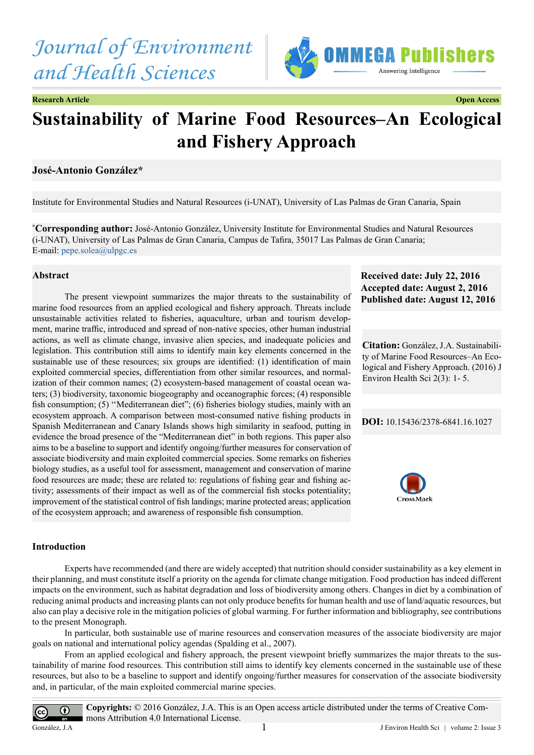



**Research Article Open Access**

# **Sustainability of Marine Food Resources–An Ecological and Fishery Approach**

## **José-Antonio González\***

Institute for Environmental Studies and Natural Resources (i-UNAT), University of Las Palmas de Gran Canaria, Spain

**\* Corresponding author:** José-Antonio González, University Institute for Environmental Studies and Natural Resources (i-UNAT), University of Las Palmas de Gran Canaria, Campus de Tafira, 35017 Las Palmas de Gran Canaria; E-mail: [pepe.solea@ulpgc.es](mailto:pepe.solea@ulpgc.es)

### **Abstract**

The present viewpoint summarizes the major threats to the sustainability of marine food resources from an applied ecological and fishery approach. Threats include unsustainable activities related to fisheries, aquaculture, urban and tourism development, marine traffic, introduced and spread of non-native species, other human industrial actions, as well as climate change, invasive alien species, and inadequate policies and legislation. This contribution still aims to identify main key elements concerned in the sustainable use of these resources; six groups are identified: (1) identification of main exploited commercial species, differentiation from other similar resources, and normalization of their common names; (2) ecosystem-based management of coastal ocean waters; (3) biodiversity, taxonomic biogeography and oceanographic forces; (4) responsible fish consumption; (5) ''Mediterranean diet"; (6) fisheries biology studies, mainly with an ecosystem approach. A comparison between most-consumed native fishing products in Spanish Mediterranean and Canary Islands shows high similarity in seafood, putting in evidence the broad presence of the "Mediterranean diet" in both regions. This paper also aims to be a baseline to support and identify ongoing/further measures for conservation of associate biodiversity and main exploited commercial species. Some remarks on fisheries biology studies, as a useful tool for assessment, management and conservation of marine food resources are made; these are related to: regulations of fishing gear and fishing activity; assessments of their impact as well as of the commercial fish stocks potentiality; improvement of the statistical control of fish landings; marine protected areas; application of the ecosystem approach; and awareness of responsible fish consumption.

#### **Introduction**

Experts have recommended (and there are widely accepted) that nutrition should consider sustainability as a key element in their planning, and must constitute itself a priority on the agenda for climate change mitigation. Food production has indeed different impacts on the environment, such as habitat degradation and loss of biodiversity among others. Changes in diet by a combination of reducing animal products and increasing plants can not only produce benefits for human health and use of land/aquatic resources, but also can play a decisive role in the mitigation policies of global warming. For further information and bibliography, see contributions to the present Monograph.

In particular, both sustainable use of marine resources and conservation measures of the associate biodiversity are major goals on national and international policy agendas (Spalding et al., 2007).

From an applied ecological and fishery approach, the present viewpoint briefly summarizes the major threats to the sustainability of marine food resources. This contribution still aims to identify key elements concerned in the sustainable use of these resources, but also to be a baseline to support and identify ongoing/further measures for conservation of the associate biodiversity and, in particular, of the main exploited commercial marine species.



**Received date: July 22, 2016 Accepted date: August 2, 2016 Published date: August 12, 2016**

**Citation:** González, J.A. Sustainability of Marine Food Resources–An Ecological and Fishery Approach. (2016) J Environ Health Sci 2(3): 1- 5.

#### **DOI:** [10.15436/2378-6841.16.1](http://www.dx.doi.org/10.15436/2378-6841.16.1027)027

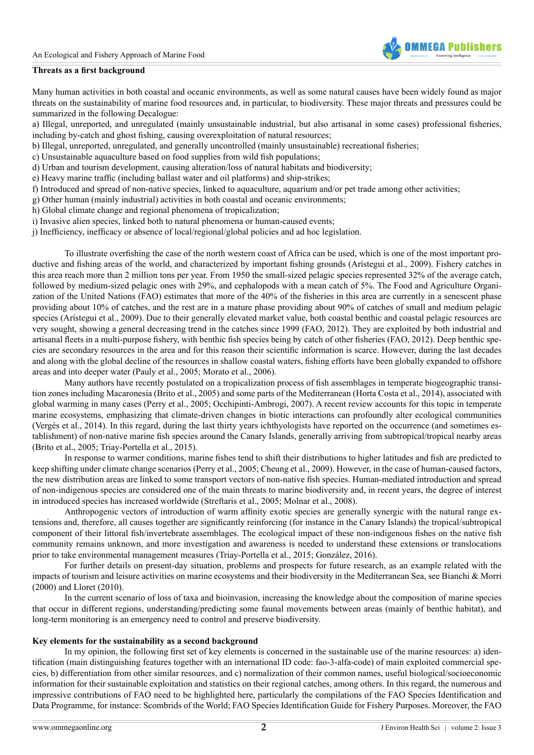

#### **Threats as a first background**

Many human activities in both coastal and oceanic environments, as well as some natural causes have been widely found as major threats on the sustainability of marine food resources and, in particular, to biodiversity. These major threats and pressures could be summarized in the following Decalogue:

a) Illegal, unreported, and unregulated (mainly unsustainable industrial, but also artisanal in some cases) professional fisheries, including by-catch and ghost fishing, causing overexploitation of natural resources;

- b) Illegal, unreported, unregulated, and generally uncontrolled (mainly unsustainable) recreational fisheries;
- c) Unsustainable aquaculture based on food supplies from wild fish populations;
- d) Urban and tourism development, causing alteration/loss of natural habitats and biodiversity;
- e) Heavy marine traffic (including ballast water and oil platforms) and ship-strikes;
- f) Introduced and spread of non-native species, linked to aquaculture, aquarium and/or pet trade among other activities;
- g) Other human (mainly industrial) activities in both coastal and oceanic environments;
- h) Global climate change and regional phenomena of tropicalization;
- i) Invasive alien species, linked both to natural phenomena or human-caused events;
- j) Inefficiency, inefficacy or absence of local/regional/global policies and ad hoc legislation.

To illustrate overfishing the case of the north western coast of Africa can be used, which is one of the most important productive and fishing areas of the world, and characterized by important fishing grounds (Arístegui et al., 2009). Fishery catches in this area reach more than 2 million tons per year. From 1950 the small-sized pelagic species represented 32% of the average catch, followed by medium-sized pelagic ones with 29%, and cephalopods with a mean catch of 5%. The Food and Agriculture Organization of the United Nations (FAO) estimates that more of the 40% of the fisheries in this area are currently in a senescent phase providing about 10% of catches, and the rest are in a mature phase providing about 90% of catches of small and medium pelagic species (Arístegui et al., 2009). Due to their generally elevated market value, both coastal benthic and coastal pelagic resources are very sought, showing a general decreasing trend in the catches since 1999 (FAO, 2012). They are exploited by both industrial and artisanal fleets in a multi-purpose fishery, with benthic fish species being by catch of other fisheries (FAO, 2012). Deep benthic species are secondary resources in the area and for this reason their scientific information is scarce. However, during the last decades and along with the global decline of the resources in shallow coastal waters, fishing efforts have been globally expanded to offshore areas and into deeper water (Pauly et al., 2005; Morato et al., 2006).

Many authors have recently postulated on a tropicalization process of fish assemblages in temperate biogeographic transition zones including Macaronesia (Brito et al., 2005) and some parts of the Mediterranean (Horta Costa et al., 2014), associated with global warming in many cases (Perry et al., 2005; Occhipinti-Ambrogi, 2007). A recent review accounts for this topic in temperate marine ecosystems, emphasizing that climate-driven changes in biotic interactions can profoundly alter ecological communities (Vergés et al., 2014). In this regard, during the last thirty years ichthyologists have reported on the occurrence (and sometimes establishment) of non-native marine fish species around the Canary Islands, generally arriving from subtropical/tropical nearby areas (Brito et al., 2005; Triay-Portella et al., 2015).

In response to warmer conditions, marine fishes tend to shift their distributions to higher latitudes and fish are predicted to keep shifting under climate change scenarios (Perry et al., 2005; Cheung et al., 2009). However, in the case of human-caused factors, the new distribution areas are linked to some transport vectors of non-native fish species. Human-mediated introduction and spread of non-indigenous species are considered one of the main threats to marine biodiversity and, in recent years, the degree of interest in introduced species has increased worldwide (Streftaris et al., 2005; Molnar et al., 2008).

Anthropogenic vectors of introduction of warm affinity exotic species are generally synergic with the natural range extensions and, therefore, all causes together are significantly reinforcing (for instance in the Canary Islands) the tropical/subtropical component of their littoral fish/invertebrate assemblages. The ecological impact of these non-indigenous fishes on the native fish community remains unknown, and more investigation and awareness is needed to understand these extensions or translocations prior to take environmental management measures (Triay-Portella et al., 2015; González, 2016).

For further details on present-day situation, problems and prospects for future research, as an example related with the impacts of tourism and leisure activities on marine ecosystems and their biodiversity in the Mediterranean Sea, see Bianchi & Morri (2000) and Lloret (2010).

In the current scenario of loss of taxa and bioinvasion, increasing the knowledge about the composition of marine species that occur in different regions, understanding/predicting some faunal movements between areas (mainly of benthic habitat), and long-term monitoring is an emergency need to control and preserve biodiversity.

#### **Key elements for the sustainability as a second background**

In my opinion, the following first set of key elements is concerned in the sustainable use of the marine resources: a) identification (main distinguishing features together with an international ID code: fao-3-alfa-code) of main exploited commercial species, b) differentiation from other similar resources, and c) normalization of their common names, useful biological/socioeconomic information for their sustainable exploitation and statistics on their regional catches, among others. In this regard, the numerous and impressive contributions of FAO need to be highlighted here, particularly the compilations of the FAO Species Identification and Data Programme, for instance: Scombrids of the World; FAO Species Identification Guide for Fishery Purposes. Moreover, the FAO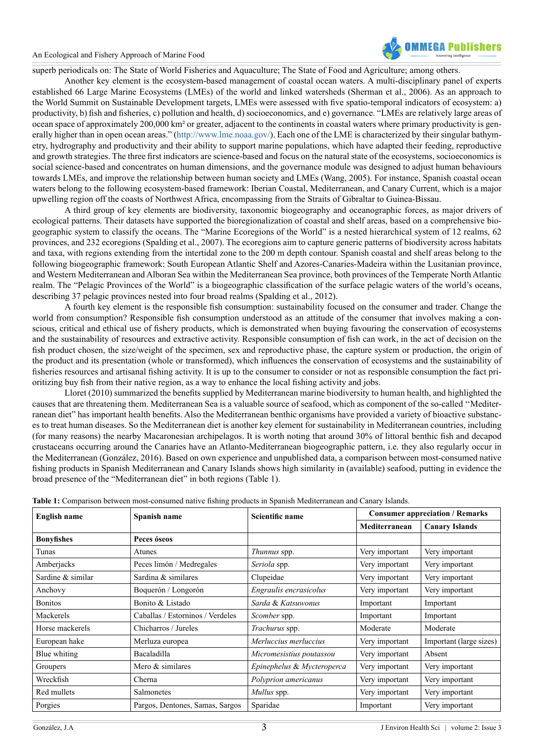

superb periodicals on: The State of World Fisheries and Aquaculture; The State of Food and Agriculture; among others.

Another key element is the ecosystem-based management of coastal ocean waters. A multi-disciplinary panel of experts established 66 Large Marine Ecosystems (LMEs) of the world and linked watersheds (Sherman et al., 2006). As an approach to the World Summit on Sustainable Development targets, LMEs were assessed with five spatio-temporal indicators of ecosystem: a) productivity, b) fish and fisheries, c) pollution and health, d) socioeconomics, and e) governance. "LMEs are relatively large areas of ocean space of approximately 200,000 km² or greater, adjacent to the continents in coastal waters where primary productivity is gen-erally higher than in open ocean areas." [\(http://www.lme.noaa.gov/](http://www.lme.noaa.gov/)). Each one of the LME is characterized by their singular bathymetry, hydrography and productivity and their ability to support marine populations, which have adapted their feeding, reproductive and growth strategies. The three first indicators are science-based and focus on the natural state of the ecosystems, socioeconomics is social science-based and concentrates on human dimensions, and the governance module was designed to adjust human behaviours towards LMEs, and improve the relationship between human society and LMEs (Wang, 2005). For instance, Spanish coastal ocean waters belong to the following ecosystem-based framework: Iberian Coastal, Mediterranean, and Canary Current, which is a major upwelling region off the coasts of Northwest Africa, encompassing from the Straits of Gibraltar to Guinea-Bissau.

A third group of key elements are biodiversity, taxonomic biogeography and oceanographic forces, as major drivers of ecological patterns. Their datasets have supported the bioregionalization of coastal and shelf areas, based on a comprehensive biogeographic system to classify the oceans. The "Marine Ecoregions of the World" is a nested hierarchical system of 12 realms, 62 provinces, and 232 ecoregions (Spalding et al., 2007). The ecoregions aim to capture generic patterns of biodiversity across habitats and taxa, with regions extending from the intertidal zone to the 200 m depth contour. Spanish coastal and shelf areas belong to the following biogeographic framework: South European Atlantic Shelf and Azores-Canaries-Madeira within the Lusitanian province, and Western Mediterranean and Alboran Sea within the Mediterranean Sea province, both provinces of the Temperate North Atlantic realm. The "Pelagic Provinces of the World" is a biogeographic classification of the surface pelagic waters of the world's oceans, describing 37 pelagic provinces nested into four broad realms (Spalding et al., 2012).

A fourth key element is the responsible fish consumption: sustainability focused on the consumer and trader. Change the world from consumption? Responsible fish consumption understood as an attitude of the consumer that involves making a conscious, critical and ethical use of fishery products, which is demonstrated when buying favouring the conservation of ecosystems and the sustainability of resources and extractive activity. Responsible consumption of fish can work, in the act of decision on the fish product chosen, the size/weight of the specimen, sex and reproductive phase, the capture system or production, the origin of the product and its presentation (whole or transformed), which influences the conservation of ecosystems and the sustainability of fisheries resources and artisanal fishing activity. It is up to the consumer to consider or not as responsible consumption the fact prioritizing buy fish from their native region, as a way to enhance the local fishing activity and jobs.

Lloret (2010) summarized the benefits supplied by Mediterranean marine biodiversity to human health, and highlighted the causes that are threatening them. Mediterranean Sea is a valuable source of seafood, which as component of the so-called ''Mediterranean diet" has important health benefits. Also the Mediterranean benthic organisms have provided a variety of bioactive substances to treat human diseases. So the Mediterranean diet is another key element for sustainability in Mediterranean countries, including (for many reasons) the nearby Macaronesian archipelagos. It is worth noting that around 30% of littoral benthic fish and decapod crustaceans occurring around the Canaries have an Atlanto-Mediterranean biogeographic pattern, i.e. they also regularly occur in the Mediterranean (González, 2016). Based on own experience and unpublished data, a comparison between most-consumed native fishing products in Spanish Mediterranean and Canary Islands shows high similarity in (available) seafood, putting in evidence the broad presence of the "Mediterranean diet" in both regions (Table 1).

| <b>English name</b> | Spanish name                     | Scientific name            | <b>Consumer appreciation / Remarks</b> |                         |
|---------------------|----------------------------------|----------------------------|----------------------------------------|-------------------------|
|                     |                                  |                            | Mediterranean                          | <b>Canary Islands</b>   |
| <b>Bonyfishes</b>   | Peces óseos                      |                            |                                        |                         |
| Tunas               | Atunes                           | <i>Thunnus</i> spp.        | Very important                         | Very important          |
| Amberjacks          | Peces limón / Medregales         | Seriola spp.               | Very important                         | Very important          |
| Sardine & similar   | Sardina & similares              | Clupeidae                  | Very important                         | Very important          |
| Anchovy             | Boquerón / Longorón              | Engraulis encrasicolus     | Very important                         | Very important          |
| <b>Bonitos</b>      | Bonito & Listado                 | Sarda & Katsuwonus         | Important                              | Important               |
| Mackerels           | Caballas / Estorninos / Verdeles | Scomber spp.               | Important                              | Important               |
| Horse mackerels     | Chicharros / Jureles             | Trachurus spp.             | Moderate                               | Moderate                |
| European hake       | Merluza europea                  | Merluccius merluccius      | Very important                         | Important (large sizes) |
| Blue whiting        | Bacaladilla                      | Micromesistius poutassou   | Very important                         | Absent                  |
| Groupers            | Mero & similares                 | Epinephelus & Mycteroperca | Very important                         | Very important          |
| Wreckfish           | Cherna                           | Polyprion americanus       | Very important                         | Very important          |
| Red mullets         | Salmonetes                       | Mullus spp.                | Very important                         | Very important          |
| Porgies             | Pargos, Dentones, Samas, Sargos  | Sparidae                   | Important                              | Very important          |

**Table 1:** Comparison between most-consumed native fishing products in Spanish Mediterranean and Canary Islands.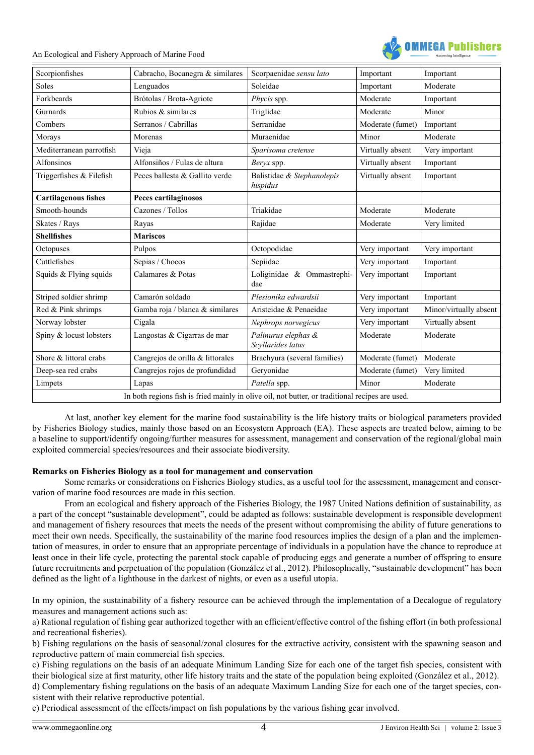An Ecological and Fishery Approach of Marine Food



| Scorpionfishes                                                                                  | Cabracho, Bocanegra & similares  | Scorpaenidae sensu lato                  | Important        | Important              |  |
|-------------------------------------------------------------------------------------------------|----------------------------------|------------------------------------------|------------------|------------------------|--|
| Soles                                                                                           | Lenguados                        | Soleidae                                 | Important        | Moderate               |  |
| Forkbeards                                                                                      | Brótolas / Brota-Agriote         | Phycis spp.                              | Moderate         | Important              |  |
| Gurnards                                                                                        | Rubios & similares               | Triglidae                                | Moderate         | Minor                  |  |
| Combers                                                                                         | Serranos / Cabrillas             | Serranidae                               | Moderate (fumet) | Important              |  |
| Morays                                                                                          | Morenas                          | Muraenidae                               | Minor            | Moderate               |  |
| Mediterranean parrotfish                                                                        | Vieja                            | Sparisoma cretense                       | Virtually absent | Very important         |  |
| Alfonsinos                                                                                      | Alfonsiños / Fulas de altura     | Beryx spp.                               | Virtually absent | Important              |  |
| Triggerfishes & Filefish                                                                        | Peces ballesta & Gallito verde   | Balistidae & Stephanolepis<br>hispidus   | Virtually absent | Important              |  |
| <b>Cartilagenous fishes</b>                                                                     | Peces cartilaginosos             |                                          |                  |                        |  |
| Smooth-hounds                                                                                   | Cazones / Tollos                 | Triakidae                                | Moderate         | Moderate               |  |
| Skates / Rays                                                                                   | Rayas                            | Rajidae                                  | Moderate         | Very limited           |  |
| <b>Shellfishes</b>                                                                              | <b>Mariscos</b>                  |                                          |                  |                        |  |
| Octopuses                                                                                       | Pulpos                           | Octopodidae                              | Very important   | Very important         |  |
| Cuttlefishes                                                                                    | Sepias / Chocos                  | Sepiidae                                 | Very important   | Important              |  |
| Squids & Flying squids                                                                          | Calamares & Potas                | Loliginidae & Ommastrephi-<br>dae        | Very important   | Important              |  |
| Striped soldier shrimp                                                                          | Camarón soldado                  | Plesionika edwardsii                     | Very important   | Important              |  |
| Red & Pink shrimps                                                                              | Gamba roja / blanca & similares  | Aristeidae & Penaeidae                   | Very important   | Minor/virtually absent |  |
| Norway lobster                                                                                  | Cigala                           | Nephrops norvegicus                      | Very important   | Virtually absent       |  |
| Spiny & locust lobsters                                                                         | Langostas & Cigarras de mar      | Palinurus elephas &<br>Scyllarides latus | Moderate         | Moderate               |  |
| Shore & littoral crabs                                                                          | Cangrejos de orilla & littorales | Brachyura (several families)             | Moderate (fumet) | Moderate               |  |
| Deep-sea red crabs                                                                              | Cangrejos rojos de profundidad   | Geryonidae                               | Moderate (fumet) | Very limited           |  |
| Limpets                                                                                         | Lapas                            | Patella spp.                             | Minor            | Moderate               |  |
| In both regions fish is fried mainly in olive oil, not butter, or traditional recipes are used. |                                  |                                          |                  |                        |  |

At last, another key element for the marine food sustainability is the life history traits or biological parameters provided by Fisheries Biology studies, mainly those based on an Ecosystem Approach (EA). These aspects are treated below, aiming to be a baseline to support/identify ongoing/further measures for assessment, management and conservation of the regional/global main exploited commercial species/resources and their associate biodiversity.

#### **Remarks on Fisheries Biology as a tool for management and conservation**

Some remarks or considerations on Fisheries Biology studies, as a useful tool for the assessment, management and conservation of marine food resources are made in this section.

From an ecological and fishery approach of the Fisheries Biology, the 1987 United Nations definition of sustainability, as a part of the concept "sustainable development", could be adapted as follows: sustainable development is responsible development and management of fishery resources that meets the needs of the present without compromising the ability of future generations to meet their own needs. Specifically, the sustainability of the marine food resources implies the design of a plan and the implementation of measures, in order to ensure that an appropriate percentage of individuals in a population have the chance to reproduce at least once in their life cycle, protecting the parental stock capable of producing eggs and generate a number of offspring to ensure future recruitments and perpetuation of the population (González et al., 2012). Philosophically, "sustainable development" has been defined as the light of a lighthouse in the darkest of nights, or even as a useful utopia.

In my opinion, the sustainability of a fishery resource can be achieved through the implementation of a Decalogue of regulatory measures and management actions such as:

a) Rational regulation of fishing gear authorized together with an efficient/effective control of the fishing effort (in both professional and recreational fisheries).

b) Fishing regulations on the basis of seasonal/zonal closures for the extractive activity, consistent with the spawning season and reproductive pattern of main commercial fish species.

c) Fishing regulations on the basis of an adequate Minimum Landing Size for each one of the target fish species, consistent with their biological size at first maturity, other life history traits and the state of the population being exploited (González et al., 2012). d) Complementary fishing regulations on the basis of an adequate Maximum Landing Size for each one of the target species, consistent with their relative reproductive potential.

e) Periodical assessment of the effects/impact on fish populations by the various fishing gear involved.